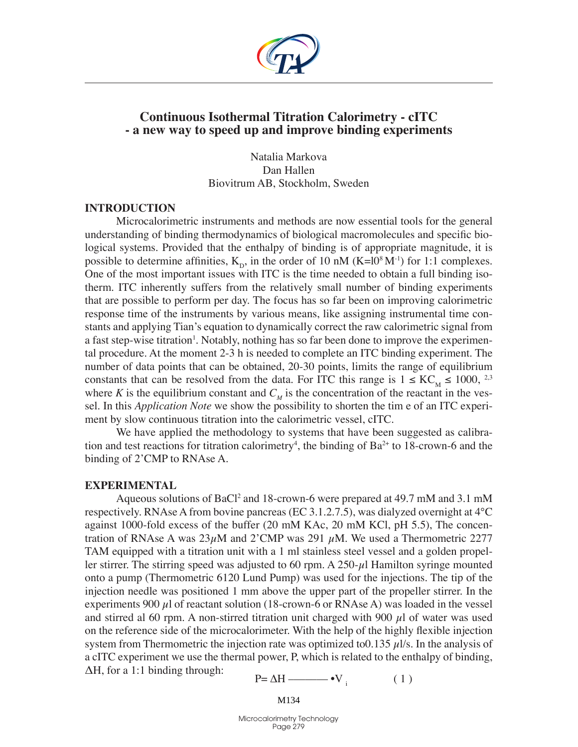

# **Continuous Isothermal Titration Calorimetry - cITC - a new way to speed up and improve binding experiments**

Natalia Markova Dan Hallen Biovitrum AB, Stockholm, Sweden

### **Introduction**

Microcalorimetric instruments and methods are now essential tools for the general understanding of binding thermodynamics of biological macromolecules and specific biological systems. Provided that the enthalpy of binding is of appropriate magnitude, it is possible to determine affinities,  $K_{p}$ , in the order of 10 nM (K=l0<sup>8</sup> M<sup>-1</sup>) for 1:1 complexes. One of the most important issues with ITC is the time needed to obtain a full binding isotherm. ITC inherently suffers from the relatively small number of binding experiments that are possible to perform per day. The focus has so far been on improving calorimetric response time of the instruments by various means, like assigning instrumental time constants and applying Tian's equation to dynamically correct the raw calorimetric signal from a fast step-wise titration<sup>1</sup>. Notably, nothing has so far been done to improve the experimental procedure. At the moment 2-3 h is needed to complete an ITC binding experiment. The number of data points that can be obtained, 20-30 points, limits the range of equilibrium constants that can be resolved from the data. For ITC this range is  $1 \leq KC_{\text{M}} \leq 1000$ , <sup>2,3</sup> where *K* is the equilibrium constant and  $C_M$  is the concentration of the reactant in the vessel. In this *Application Note* we show the possibility to shorten the tim e of an ITC experiment by slow continuous titration into the calorimetric vessel, cITC.

We have applied the methodology to systems that have been suggested as calibration and test reactions for titration calorimetry<sup>4</sup>, the binding of  $Ba^{2+}$  to 18-crown-6 and the binding of 2'CMP to RNAse A.

#### **Experimental**

Aqueous solutions of BaCl<sup>2</sup> and 18-crown-6 were prepared at 49.7 mM and 3.1 mM respectively. RNAse A from bovine pancreas (EC 3.1.2.7.5), was dialyzed overnight at 4°C against 1000-fold excess of the buffer (20 mM KAc, 20 mM KCl, pH 5.5), The concentration of RNAse A was  $23\mu$ M and  $2^{\circ}$ CMP was 291  $\mu$ M. We used a Thermometric 2277 TAM equipped with a titration unit with a 1 ml stainless steel vessel and a golden propeller stirrer. The stirring speed was adjusted to 60 rpm. A  $250-\mu$ l Hamilton syringe mounted onto a pump (Thermometric 6120 Lund Pump) was used for the injections. The tip of the injection needle was positioned 1 mm above the upper part of the propeller stirrer. In the experiments 900  $\mu$ l of reactant solution (18-crown-6 or RNAse A) was loaded in the vessel and stirred al 60 rpm. A non-stirred titration unit charged with 900  $\mu$ l of water was used on the reference side of the microcalorimeter. With the help of the highly flexible injection system from Thermometric the injection rate was optimized to  $0.135 \mu$ l/s. In the analysis of a cITC experiment we use the thermal power, P, which is related to the enthalpy of binding,  $\Delta H$ , for a 1:1 binding through:

$$
P = \Delta H \longrightarrow V \tag{1}
$$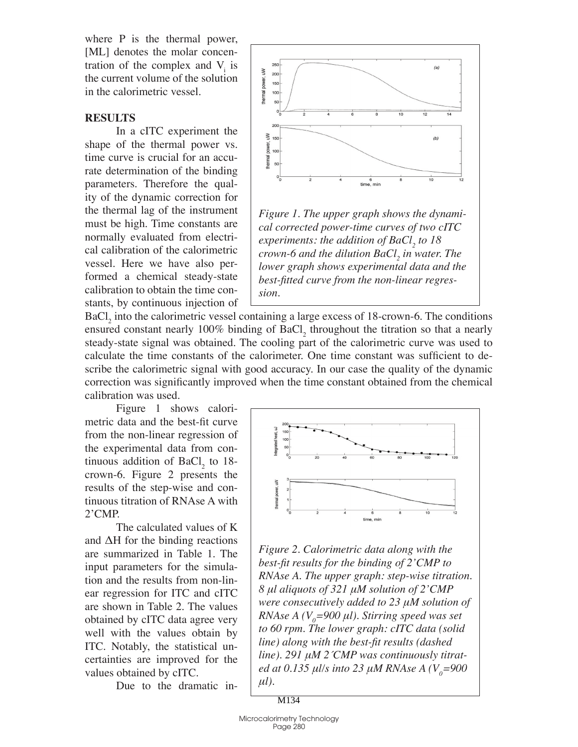where P is the thermal power, [ML] denotes the molar concentration of the complex and  $V_i$  is the current volume of the solution in the calorimetric vessel.

## **Results**

In a cITC experiment the shape of the thermal power vs. time curve is crucial for an accurate determination of the binding parameters. Therefore the quality of the dynamic correction for the thermal lag of the instrument must be high. Time constants are normally evaluated from electrical calibration of the calorimetric vessel. Here we have also performed a chemical steady-state calibration to obtain the time constants, by continuous injection of



*Figure 1. The upper graph shows the dynamical corrected power-time curves of two cITC experiments: the addition of BaCl<sub>2</sub> to 18 crown-6 and the dilution BaCl<sub>2</sub> in water. The lower graph shows experimental data and the best-fitted curve from the non-linear regression.*

 $BaCl<sub>2</sub>$  into the calorimetric vessel containing a large excess of 18-crown-6. The conditions ensured constant nearly 100% binding of  $BaCl_2$  throughout the titration so that a nearly steady-state signal was obtained. The cooling part of the calorimetric curve was used to calculate the time constants of the calorimeter. One time constant was sufficient to describe the calorimetric signal with good accuracy. In our case the quality of the dynamic correction was significantly improved when the time constant obtained from the chemical calibration was used.

Figure 1 shows calorimetric data and the best-fit curve from the non-linear regression of the experimental data from continuous addition of  $BaCl<sub>2</sub>$  to 18crown-6. Figure 2 presents the results of the step-wise and continuous titration of RNAse A with 2'CMP.

The calculated values of K and ΔH for the binding reactions are summarized in Table 1. The input parameters for the simulation and the results from non-linear regression for ITC and cITC are shown in Table 2. The values obtained by cITC data agree very well with the values obtain by ITC. Notably, the statistical uncertainties are improved for the values obtained by cITC.

Due to the dramatic in-



*Figure 2. Calorimetric data along with the best-fit results for the binding of 2'CMP to RNAse A. The upper graph: step-wise titration. 8 μl aliquots of 321 μM solution of 2'CMP were consecutively added to 23 μM solution of RNAse A (V<sub>0</sub>=900*  $\mu$ *l). Stirring speed was set to 60 rpm. The lower graph: cITC data (solid line) along with the best-fit results (dashed line). 291 μM 2´CMP was continuously titrated at 0.135 μl/s into 23 μM RNAse A (V<sub>0</sub>=900 μl).*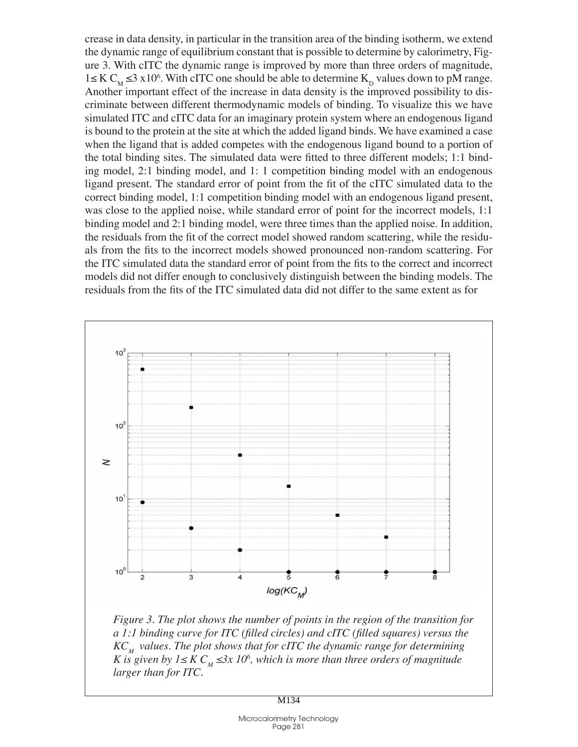crease in data density, in particular in the transition area of the binding isotherm, we extend the dynamic range of equilibrium constant that is possible to determine by calorimetry, Figure 3. With cITC the dynamic range is improved by more than three orders of magnitude, 1≤ K C<sub>M</sub> ≤3 x10<sup>6</sup>. With cITC one should be able to determine K<sub>D</sub> values down to pM range. Another important effect of the increase in data density is the improved possibility to discriminate between different thermodynamic models of binding. To visualize this we have simulated ITC and cITC data for an imaginary protein system where an endogenous ligand is bound to the protein at the site at which the added ligand binds. We have examined a case when the ligand that is added competes with the endogenous ligand bound to a portion of the total binding sites. The simulated data were fitted to three different models; 1:1 binding model, 2:1 binding model, and 1: 1 competition binding model with an endogenous ligand present. The standard error of point from the fit of the cITC simulated data to the correct binding model, 1:1 competition binding model with an endogenous ligand present, was close to the applied noise, while standard error of point for the incorrect models, 1:1 binding model and 2:1 binding model, were three times than the applied noise. In addition, the residuals from the fit of the correct model showed random scattering, while the residuals from the fits to the incorrect models showed pronounced non-random scattering. For the ITC simulated data the standard error of point from the fits to the correct and incorrect models did not differ enough to conclusively distinguish between the binding models. The residuals from the fits of the ITC simulated data did not differ to the same extent as for



*Figure 3. The plot shows the number of points in the region of the transition for a 1:1 binding curve for ITC (filled circles) and cITC (filled squares) versus the*   $KC<sub>M</sub>$  values. The plot shows that for cITC the dynamic range for determining *K* is given by  $1 \leq K C_M \leq 3x$   $10^6$ , which is more than three orders of magnitude *larger than for ITC.*